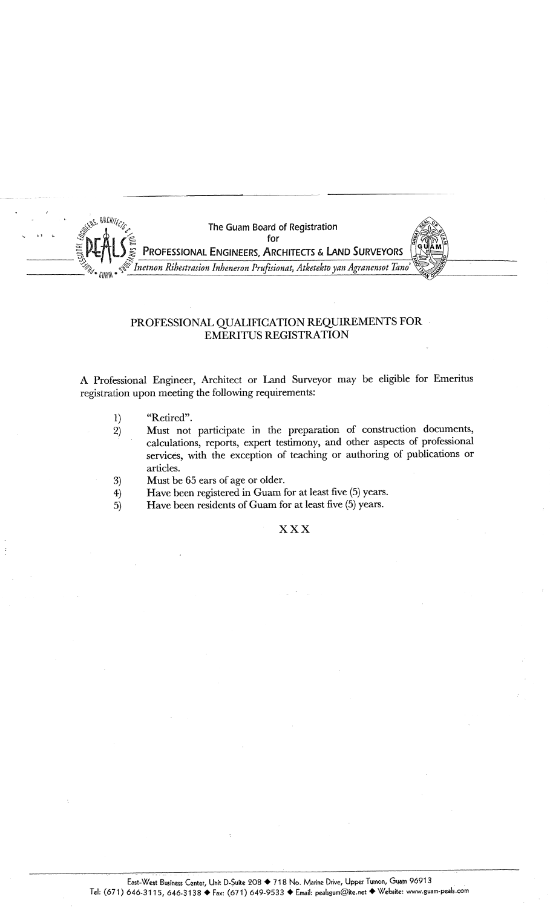

## PROFESSIONAL QUALIFICATION REQUIREMENTS FOR. **EMERITUS REGISTRATION**

A Professional Engineer, Architect or Land Surveyor may be eligible for Emeritus registration upon meeting the following requirements:

- 1) "Retired".
- 2) Must not participate in the preparation of construction documents, calculations, reports, expert testimony, and other aspects of professional services, with the exception of teaching or authoring of publications or articles.
- 3) Must be 65 ears of age or older.
- 4) Have been registered in Guam for at least five (5) years.
- 5) Have been residents of Guam for at least five (5) years.

## **xxx**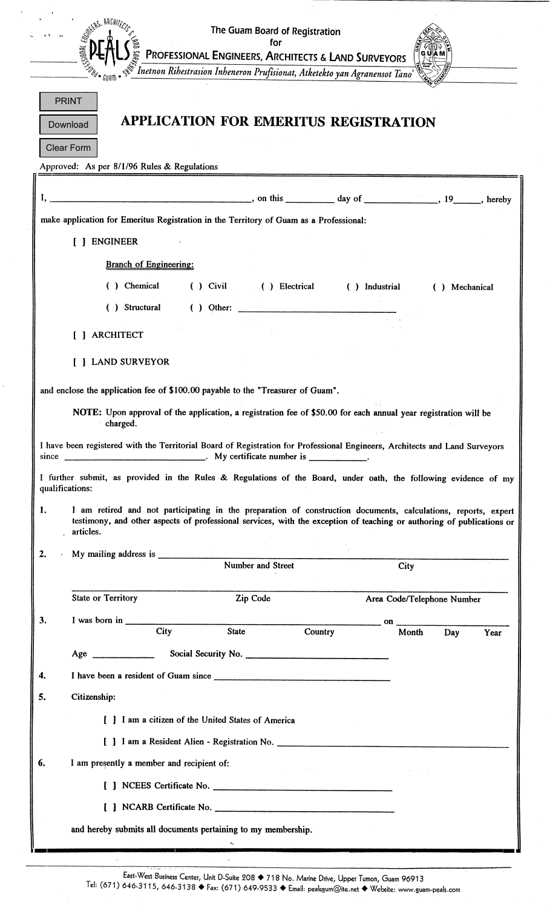|                                  |                                                                                                                                                                                                                                                                                                                                                                                                                               | The Guam Board of Registration                                                                                                               |                |                |                            |      |
|----------------------------------|-------------------------------------------------------------------------------------------------------------------------------------------------------------------------------------------------------------------------------------------------------------------------------------------------------------------------------------------------------------------------------------------------------------------------------|----------------------------------------------------------------------------------------------------------------------------------------------|----------------|----------------|----------------------------|------|
|                                  |                                                                                                                                                                                                                                                                                                                                                                                                                               | for                                                                                                                                          |                |                |                            |      |
|                                  |                                                                                                                                                                                                                                                                                                                                                                                                                               | $\leq$ PROFESSIONAL ENGINEERS, ARCHITECTS & LAND SURVEYORS $\leq$ Inetnon Ribestrasion Inbeneron Prufisionat, Atketekto yan Agranensot Tano' |                |                |                            |      |
|                                  |                                                                                                                                                                                                                                                                                                                                                                                                                               |                                                                                                                                              |                |                |                            |      |
|                                  | <b>PRINT</b>                                                                                                                                                                                                                                                                                                                                                                                                                  |                                                                                                                                              |                |                |                            |      |
|                                  | Download                                                                                                                                                                                                                                                                                                                                                                                                                      | APPLICATION FOR EMERITUS REGISTRATION                                                                                                        |                |                |                            |      |
|                                  | <b>Clear Form</b>                                                                                                                                                                                                                                                                                                                                                                                                             |                                                                                                                                              |                |                |                            |      |
|                                  | Approved: As per 8/1/96 Rules & Regulations                                                                                                                                                                                                                                                                                                                                                                                   |                                                                                                                                              |                |                |                            |      |
|                                  | $\frac{1}{2}$ , on this $\frac{1}{2}$ day of $\frac{1}{2}$ , 19 hereby                                                                                                                                                                                                                                                                                                                                                        |                                                                                                                                              |                |                |                            |      |
|                                  | make application for Emeritus Registration in the Territory of Guam as a Professional:                                                                                                                                                                                                                                                                                                                                        |                                                                                                                                              |                |                |                            |      |
|                                  | [ ] ENGINEER                                                                                                                                                                                                                                                                                                                                                                                                                  |                                                                                                                                              |                |                |                            |      |
|                                  |                                                                                                                                                                                                                                                                                                                                                                                                                               |                                                                                                                                              |                |                |                            |      |
|                                  | <b>Branch of Engineering:</b>                                                                                                                                                                                                                                                                                                                                                                                                 |                                                                                                                                              |                |                |                            |      |
|                                  | () Chemical                                                                                                                                                                                                                                                                                                                                                                                                                   | $()$ Civil                                                                                                                                   | ( ) Electrical | ( ) Industrial | ( ) Mechanical             |      |
|                                  | ( ) Structural                                                                                                                                                                                                                                                                                                                                                                                                                |                                                                                                                                              |                |                |                            |      |
|                                  | <b>ARCHITECT</b>                                                                                                                                                                                                                                                                                                                                                                                                              |                                                                                                                                              |                |                |                            |      |
|                                  | <b>LAND SURVEYOR</b>                                                                                                                                                                                                                                                                                                                                                                                                          |                                                                                                                                              |                |                |                            |      |
|                                  |                                                                                                                                                                                                                                                                                                                                                                                                                               |                                                                                                                                              |                |                |                            |      |
|                                  | and enclose the application fee of \$100.00 payable to the "Treasurer of Guam".                                                                                                                                                                                                                                                                                                                                               |                                                                                                                                              |                |                |                            |      |
|                                  |                                                                                                                                                                                                                                                                                                                                                                                                                               |                                                                                                                                              |                |                |                            |      |
|                                  | NOTE: Upon approval of the application, a registration fee of \$50.00 for each annual year registration will be<br>charged.                                                                                                                                                                                                                                                                                                   |                                                                                                                                              |                |                |                            |      |
|                                  | I have been registered with the Territorial Board of Registration for Professional Engineers, Architects and Land Surveyors                                                                                                                                                                                                                                                                                                   |                                                                                                                                              |                |                |                            |      |
|                                  | since _____________________________. My certificate number is _____________.                                                                                                                                                                                                                                                                                                                                                  |                                                                                                                                              |                |                |                            |      |
|                                  | I further submit, as provided in the Rules & Regulations of the Board, under oath, the following evidence of my<br>qualifications:                                                                                                                                                                                                                                                                                            |                                                                                                                                              |                |                |                            |      |
|                                  | I am retired and not participating in the preparation of construction documents, calculations, reports, expert<br>testimony, and other aspects of professional services, with the exception of teaching or authoring of publications or<br>articles.                                                                                                                                                                          |                                                                                                                                              |                |                |                            |      |
|                                  |                                                                                                                                                                                                                                                                                                                                                                                                                               |                                                                                                                                              |                |                |                            |      |
|                                  |                                                                                                                                                                                                                                                                                                                                                                                                                               |                                                                                                                                              |                | City           |                            |      |
|                                  |                                                                                                                                                                                                                                                                                                                                                                                                                               |                                                                                                                                              |                |                |                            |      |
|                                  | <b>State or Territory</b>                                                                                                                                                                                                                                                                                                                                                                                                     | Zip Code                                                                                                                                     |                |                | Area Code/Telephone Number |      |
|                                  | I was born in $\frac{1}{\sqrt{1-\frac{1}{\sqrt{1-\frac{1}{\sqrt{1-\frac{1}{\sqrt{1-\frac{1}{\sqrt{1-\frac{1}{\sqrt{1-\frac{1}{\sqrt{1-\frac{1}{\sqrt{1-\frac{1}{\sqrt{1-\frac{1}{\sqrt{1-\frac{1}{\sqrt{1-\frac{1}{\sqrt{1-\frac{1}{\sqrt{1-\frac{1}{\sqrt{1-\frac{1}{\sqrt{1-\frac{1}{\sqrt{1-\frac{1}{\sqrt{1-\frac{1}{\sqrt{1-\frac{1}{\sqrt{1-\frac{1}{\sqrt{1-\frac{1}{\sqrt{1-\frac{1}{\sqrt{1-\frac{1}{\sqrt{$<br>City | <b>State</b>                                                                                                                                 | Country        | Month          | Day                        | Year |
|                                  |                                                                                                                                                                                                                                                                                                                                                                                                                               |                                                                                                                                              |                |                |                            |      |
|                                  |                                                                                                                                                                                                                                                                                                                                                                                                                               |                                                                                                                                              |                |                |                            |      |
|                                  | Citizenship:                                                                                                                                                                                                                                                                                                                                                                                                                  |                                                                                                                                              |                |                |                            |      |
|                                  | [ ] I am a citizen of the United States of America                                                                                                                                                                                                                                                                                                                                                                            |                                                                                                                                              |                |                |                            |      |
|                                  | [ ] I am a Resident Alien - Registration No.                                                                                                                                                                                                                                                                                                                                                                                  |                                                                                                                                              |                |                |                            |      |
|                                  | I am presently a member and recipient of:                                                                                                                                                                                                                                                                                                                                                                                     |                                                                                                                                              |                |                |                            |      |
|                                  | [ ] NCEES Certificate No.                                                                                                                                                                                                                                                                                                                                                                                                     |                                                                                                                                              |                |                |                            |      |
|                                  |                                                                                                                                                                                                                                                                                                                                                                                                                               |                                                                                                                                              |                |                |                            |      |
| 1.<br>2.<br>3.<br>4.<br>5.<br>6. | and hereby submits all documents pertaining to my membership.                                                                                                                                                                                                                                                                                                                                                                 |                                                                                                                                              |                |                |                            |      |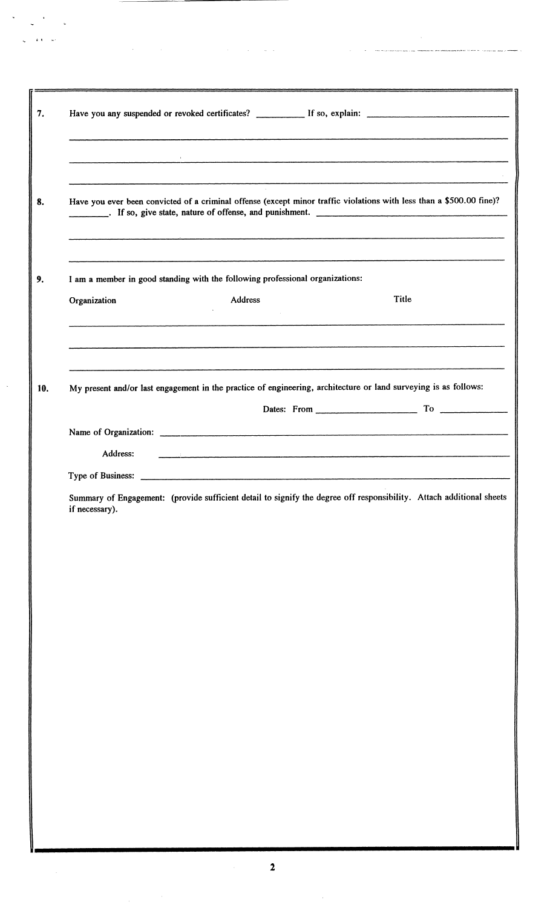|                                                                                                                 |                                                                               |  | Have you any suspended or revoked certificates? If so, explain:                                                                                                                                                                |  |  |  |
|-----------------------------------------------------------------------------------------------------------------|-------------------------------------------------------------------------------|--|--------------------------------------------------------------------------------------------------------------------------------------------------------------------------------------------------------------------------------|--|--|--|
|                                                                                                                 |                                                                               |  |                                                                                                                                                                                                                                |  |  |  |
|                                                                                                                 |                                                                               |  |                                                                                                                                                                                                                                |  |  |  |
|                                                                                                                 |                                                                               |  | Have you ever been convicted of a criminal offense (except minor traffic violations with less than a \$500.00 fine)?                                                                                                           |  |  |  |
|                                                                                                                 |                                                                               |  |                                                                                                                                                                                                                                |  |  |  |
|                                                                                                                 | I am a member in good standing with the following professional organizations: |  |                                                                                                                                                                                                                                |  |  |  |
| Organization                                                                                                    | Address<br>$\sim$                                                             |  | Title                                                                                                                                                                                                                          |  |  |  |
|                                                                                                                 |                                                                               |  |                                                                                                                                                                                                                                |  |  |  |
|                                                                                                                 |                                                                               |  | and the contract of the contract of the contract of the contract of the contract of the contract of the contract of the contract of the contract of the contract of the contract of the contract of the contract of the contra |  |  |  |
| My present and/or last engagement in the practice of engineering, architecture or land surveying is as follows: |                                                                               |  |                                                                                                                                                                                                                                |  |  |  |
|                                                                                                                 |                                                                               |  | Dates: From To To                                                                                                                                                                                                              |  |  |  |
|                                                                                                                 |                                                                               |  |                                                                                                                                                                                                                                |  |  |  |
| Address:<br>Type of Business:                                                                                   |                                                                               |  | and the contract of the contract of the contract of the contract of the contract of the contract of the contract of                                                                                                            |  |  |  |
| if necessary).                                                                                                  |                                                                               |  | Summary of Engagement: (provide sufficient detail to signify the degree off responsibility. Attach additional sheets                                                                                                           |  |  |  |
|                                                                                                                 |                                                                               |  |                                                                                                                                                                                                                                |  |  |  |
|                                                                                                                 |                                                                               |  |                                                                                                                                                                                                                                |  |  |  |
|                                                                                                                 |                                                                               |  |                                                                                                                                                                                                                                |  |  |  |
|                                                                                                                 |                                                                               |  |                                                                                                                                                                                                                                |  |  |  |
|                                                                                                                 |                                                                               |  |                                                                                                                                                                                                                                |  |  |  |
|                                                                                                                 |                                                                               |  |                                                                                                                                                                                                                                |  |  |  |
|                                                                                                                 |                                                                               |  |                                                                                                                                                                                                                                |  |  |  |
|                                                                                                                 |                                                                               |  |                                                                                                                                                                                                                                |  |  |  |
|                                                                                                                 |                                                                               |  |                                                                                                                                                                                                                                |  |  |  |
|                                                                                                                 |                                                                               |  |                                                                                                                                                                                                                                |  |  |  |
|                                                                                                                 |                                                                               |  |                                                                                                                                                                                                                                |  |  |  |
|                                                                                                                 |                                                                               |  |                                                                                                                                                                                                                                |  |  |  |

 $\bar{\beta}$ 

 $\frac{1}{2}$